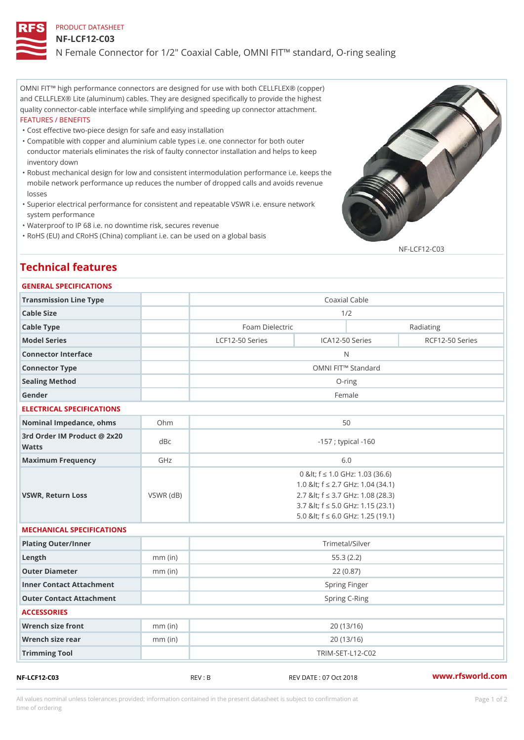# PRODUCT DATASHEET

## NF-LCF12-C03

N Female Connector for 1/2" Coaxial Cable, OMNI FIT!" standard, O-rin

OMNI FIT!" high performance connectors are designed for use with both CELLFLEX® (copper) and CELLFLEX® Lite (aluminum) cables. They are designed specifically to provide the highest quality connector-cable interface while simplifying and speeding up connector attachment. FEATURES / BENEFITS

"Cost effective two-piece design for safe and easy installation

- Compatible with copper and aluminium cable types i.e. one connector for both outer " conductor materials eliminates the risk of faulty connector installation and helps to keep inventory down
- Robust mechanical design for low and consistent intermodulation performance i.e. keeps the " mobile network performance up reduces the number of dropped calls and avoids revenue losses
- Superior electrical performance for consistent and repeatable VSWR i.e. ensure network " system performance
- "Waterproof to IP 68 i.e. no downtime risk, secures revenue
- "RoHS (EU) and CRoHS (China) compliant i.e. can be used on a global basis

NF-LCF12-C03

# Technical features

## GENERAL SPECIFICATIONS

| Transmission Line Type                   |                 | Coaxial Cable                |                                                                                                                                                                                               |                 |
|------------------------------------------|-----------------|------------------------------|-----------------------------------------------------------------------------------------------------------------------------------------------------------------------------------------------|-----------------|
| Cable Size                               |                 | 1/2                          |                                                                                                                                                                                               |                 |
| Cable Type                               |                 | Foam Dielectric<br>Radiating |                                                                                                                                                                                               |                 |
| Model Series                             |                 | LCF12-50 Series              | ICA12-50 Series                                                                                                                                                                               | RCF12-50 Series |
| Connector Interface                      |                 | N                            |                                                                                                                                                                                               |                 |
| Connector Type                           |                 | OMNI FIT!" Standard          |                                                                                                                                                                                               |                 |
| Sealing Method                           |                 | $O$ -ring                    |                                                                                                                                                                                               |                 |
| Gender                                   |                 | Female                       |                                                                                                                                                                                               |                 |
| ELECTRICAL SPECIFICATIONS                |                 |                              |                                                                                                                                                                                               |                 |
| Nominal Impedance, ohins Ohm             |                 | 50                           |                                                                                                                                                                                               |                 |
| 3rd Order IM Product @ 2x20 dBc<br>Watts |                 | $-157$ ; typical $-160$      |                                                                                                                                                                                               |                 |
| Maximum Frequency                        | GHz             | 6.0                          |                                                                                                                                                                                               |                 |
| VSWR, Return Loss                        | $VSWR$ ( $dB$ ) |                              | 0 & It; f "d 1.0 GHz: 1.03 (36.6)<br>1.0 & It; f "d 2.7 GHz: 1.04 (34.1)<br>2.7 & It; f "d 3.7 GHz: 1.08 (28.3)<br>3.7 & It; f "d 5.0 GHz: 1.15 (23.1)<br>5.0 & It; f "d 6.0 GHz: 1.25 (19.1) |                 |
| MECHANICAL SPECIFICATIONS                |                 |                              |                                                                                                                                                                                               |                 |
| Plating Outer/Inner                      |                 | Trimetal/Silver              |                                                                                                                                                                                               |                 |
| $L$ ength                                | $mm$ (in)       | 55.3(2.2)                    |                                                                                                                                                                                               |                 |
| Outer Diameter                           | $mm$ (in)       |                              | 22(0.87)                                                                                                                                                                                      |                 |
| Inner Contact Attachment                 |                 | Spring Finger                |                                                                                                                                                                                               |                 |
| Outer Contact Attachment                 |                 | Spring C-Ring                |                                                                                                                                                                                               |                 |
| <b>ACCESSORIES</b>                       |                 |                              |                                                                                                                                                                                               |                 |
| Wrench size front                        | $mm$ (in)       | 20(13/16)                    |                                                                                                                                                                                               |                 |
| Wrench size rear                         | $mm$ (in)       | 20(13/16)                    |                                                                                                                                                                                               |                 |
| Trimming Tool                            |                 | TRIM-SET-L12-C02             |                                                                                                                                                                                               |                 |

NF-LCF12-C03 REV:B REV REV DATE:07 Oct 2018 WWW.rfsworld.com

All values nominal unless tolerances provided; information contained in the present datasheet is subject to Pcapgeign manation time of ordering